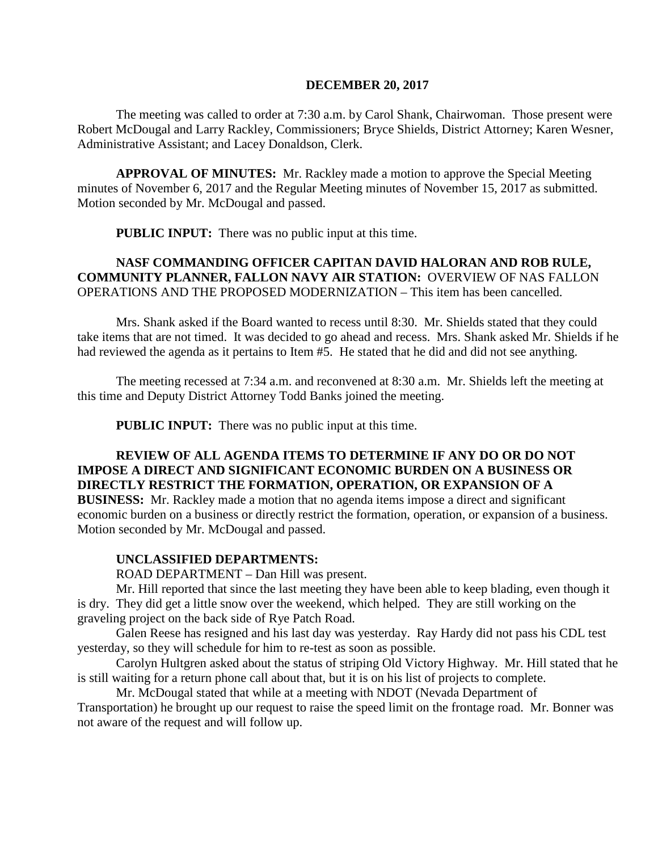#### **DECEMBER 20, 2017**

The meeting was called to order at 7:30 a.m. by Carol Shank, Chairwoman. Those present were Robert McDougal and Larry Rackley, Commissioners; Bryce Shields, District Attorney; Karen Wesner, Administrative Assistant; and Lacey Donaldson, Clerk.

**APPROVAL OF MINUTES:** Mr. Rackley made a motion to approve the Special Meeting minutes of November 6, 2017 and the Regular Meeting minutes of November 15, 2017 as submitted. Motion seconded by Mr. McDougal and passed.

 **PUBLIC INPUT:** There was no public input at this time.

## **NASF COMMANDING OFFICER CAPITAN DAVID HALORAN AND ROB RULE, COMMUNITY PLANNER, FALLON NAVY AIR STATION:** OVERVIEW OF NAS FALLON OPERATIONS AND THE PROPOSED MODERNIZATION – This item has been cancelled.

Mrs. Shank asked if the Board wanted to recess until 8:30. Mr. Shields stated that they could take items that are not timed. It was decided to go ahead and recess. Mrs. Shank asked Mr. Shields if he had reviewed the agenda as it pertains to Item #5. He stated that he did and did not see anything.

The meeting recessed at 7:34 a.m. and reconvened at 8:30 a.m. Mr. Shields left the meeting at this time and Deputy District Attorney Todd Banks joined the meeting.

**PUBLIC INPUT:** There was no public input at this time.

#### **REVIEW OF ALL AGENDA ITEMS TO DETERMINE IF ANY DO OR DO NOT IMPOSE A DIRECT AND SIGNIFICANT ECONOMIC BURDEN ON A BUSINESS OR DIRECTLY RESTRICT THE FORMATION, OPERATION, OR EXPANSION OF A**

**BUSINESS:** Mr. Rackley made a motion that no agenda items impose a direct and significant economic burden on a business or directly restrict the formation, operation, or expansion of a business. Motion seconded by Mr. McDougal and passed.

#### **UNCLASSIFIED DEPARTMENTS:**

ROAD DEPARTMENT – Dan Hill was present.

Mr. Hill reported that since the last meeting they have been able to keep blading, even though it is dry. They did get a little snow over the weekend, which helped. They are still working on the graveling project on the back side of Rye Patch Road.

Galen Reese has resigned and his last day was yesterday. Ray Hardy did not pass his CDL test yesterday, so they will schedule for him to re-test as soon as possible.

Carolyn Hultgren asked about the status of striping Old Victory Highway. Mr. Hill stated that he is still waiting for a return phone call about that, but it is on his list of projects to complete.

Mr. McDougal stated that while at a meeting with NDOT (Nevada Department of Transportation) he brought up our request to raise the speed limit on the frontage road. Mr. Bonner was not aware of the request and will follow up.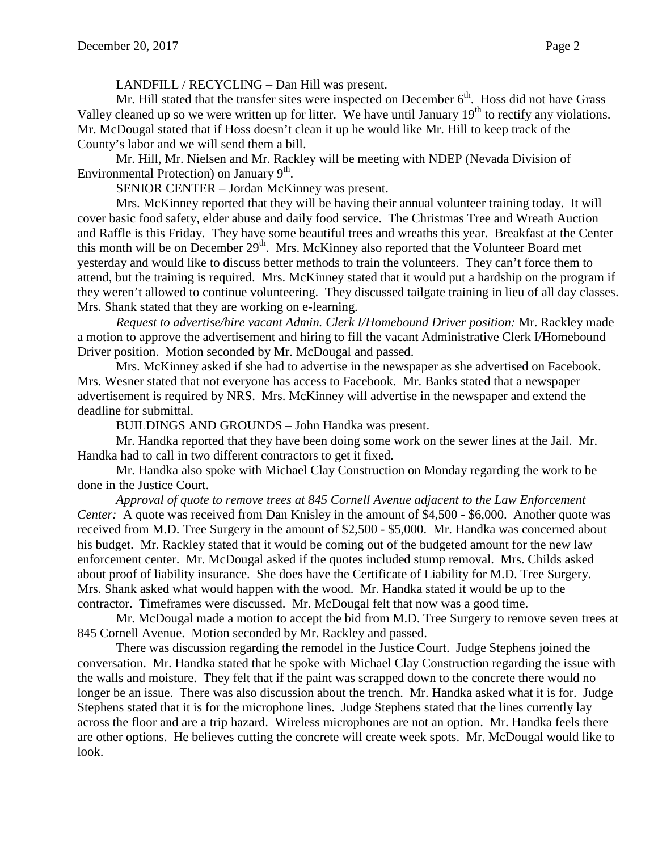LANDFILL / RECYCLING – Dan Hill was present.

Mr. Hill stated that the transfer sites were inspected on December  $6<sup>th</sup>$ . Hoss did not have Grass Valley cleaned up so we were written up for litter. We have until January  $19<sup>th</sup>$  to rectify any violations. Mr. McDougal stated that if Hoss doesn't clean it up he would like Mr. Hill to keep track of the County's labor and we will send them a bill.

Mr. Hill, Mr. Nielsen and Mr. Rackley will be meeting with NDEP (Nevada Division of Environmental Protection) on January  $9<sup>th</sup>$ .

SENIOR CENTER – Jordan McKinney was present.

Mrs. McKinney reported that they will be having their annual volunteer training today. It will cover basic food safety, elder abuse and daily food service. The Christmas Tree and Wreath Auction and Raffle is this Friday. They have some beautiful trees and wreaths this year. Breakfast at the Center this month will be on December 29<sup>th</sup>. Mrs. McKinney also reported that the Volunteer Board met yesterday and would like to discuss better methods to train the volunteers. They can't force them to attend, but the training is required. Mrs. McKinney stated that it would put a hardship on the program if they weren't allowed to continue volunteering. They discussed tailgate training in lieu of all day classes. Mrs. Shank stated that they are working on e-learning.

*Request to advertise/hire vacant Admin. Clerk I/Homebound Driver position:* Mr. Rackley made a motion to approve the advertisement and hiring to fill the vacant Administrative Clerk I/Homebound Driver position. Motion seconded by Mr. McDougal and passed.

Mrs. McKinney asked if she had to advertise in the newspaper as she advertised on Facebook. Mrs. Wesner stated that not everyone has access to Facebook. Mr. Banks stated that a newspaper advertisement is required by NRS. Mrs. McKinney will advertise in the newspaper and extend the deadline for submittal.

BUILDINGS AND GROUNDS – John Handka was present.

Mr. Handka reported that they have been doing some work on the sewer lines at the Jail. Mr. Handka had to call in two different contractors to get it fixed.

Mr. Handka also spoke with Michael Clay Construction on Monday regarding the work to be done in the Justice Court.

*Approval of quote to remove trees at 845 Cornell Avenue adjacent to the Law Enforcement Center:* A quote was received from Dan Knisley in the amount of \$4,500 - \$6,000. Another quote was received from M.D. Tree Surgery in the amount of \$2,500 - \$5,000. Mr. Handka was concerned about his budget. Mr. Rackley stated that it would be coming out of the budgeted amount for the new law enforcement center. Mr. McDougal asked if the quotes included stump removal. Mrs. Childs asked about proof of liability insurance. She does have the Certificate of Liability for M.D. Tree Surgery. Mrs. Shank asked what would happen with the wood. Mr. Handka stated it would be up to the contractor. Timeframes were discussed. Mr. McDougal felt that now was a good time.

Mr. McDougal made a motion to accept the bid from M.D. Tree Surgery to remove seven trees at 845 Cornell Avenue. Motion seconded by Mr. Rackley and passed.

There was discussion regarding the remodel in the Justice Court. Judge Stephens joined the conversation. Mr. Handka stated that he spoke with Michael Clay Construction regarding the issue with the walls and moisture. They felt that if the paint was scrapped down to the concrete there would no longer be an issue. There was also discussion about the trench. Mr. Handka asked what it is for. Judge Stephens stated that it is for the microphone lines. Judge Stephens stated that the lines currently lay across the floor and are a trip hazard. Wireless microphones are not an option. Mr. Handka feels there are other options. He believes cutting the concrete will create week spots. Mr. McDougal would like to look.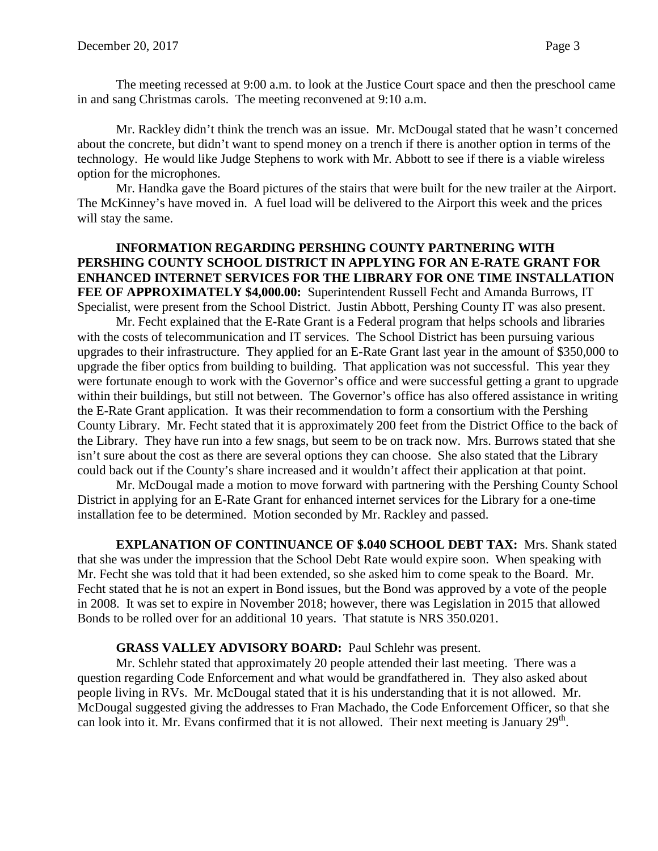The meeting recessed at 9:00 a.m. to look at the Justice Court space and then the preschool came in and sang Christmas carols. The meeting reconvened at 9:10 a.m.

Mr. Rackley didn't think the trench was an issue. Mr. McDougal stated that he wasn't concerned about the concrete, but didn't want to spend money on a trench if there is another option in terms of the technology. He would like Judge Stephens to work with Mr. Abbott to see if there is a viable wireless option for the microphones.

Mr. Handka gave the Board pictures of the stairs that were built for the new trailer at the Airport. The McKinney's have moved in. A fuel load will be delivered to the Airport this week and the prices will stay the same.

### **INFORMATION REGARDING PERSHING COUNTY PARTNERING WITH PERSHING COUNTY SCHOOL DISTRICT IN APPLYING FOR AN E-RATE GRANT FOR ENHANCED INTERNET SERVICES FOR THE LIBRARY FOR ONE TIME INSTALLATION FEE OF APPROXIMATELY \$4,000.00:** Superintendent Russell Fecht and Amanda Burrows, IT Specialist, were present from the School District. Justin Abbott, Pershing County IT was also present.

Mr. Fecht explained that the E-Rate Grant is a Federal program that helps schools and libraries with the costs of telecommunication and IT services. The School District has been pursuing various upgrades to their infrastructure. They applied for an E-Rate Grant last year in the amount of \$350,000 to upgrade the fiber optics from building to building. That application was not successful. This year they were fortunate enough to work with the Governor's office and were successful getting a grant to upgrade within their buildings, but still not between. The Governor's office has also offered assistance in writing the E-Rate Grant application. It was their recommendation to form a consortium with the Pershing County Library. Mr. Fecht stated that it is approximately 200 feet from the District Office to the back of the Library. They have run into a few snags, but seem to be on track now. Mrs. Burrows stated that she isn't sure about the cost as there are several options they can choose. She also stated that the Library could back out if the County's share increased and it wouldn't affect their application at that point.

Mr. McDougal made a motion to move forward with partnering with the Pershing County School District in applying for an E-Rate Grant for enhanced internet services for the Library for a one-time installation fee to be determined. Motion seconded by Mr. Rackley and passed.

**EXPLANATION OF CONTINUANCE OF \$.040 SCHOOL DEBT TAX:** Mrs. Shank stated that she was under the impression that the School Debt Rate would expire soon. When speaking with Mr. Fecht she was told that it had been extended, so she asked him to come speak to the Board. Mr. Fecht stated that he is not an expert in Bond issues, but the Bond was approved by a vote of the people in 2008. It was set to expire in November 2018; however, there was Legislation in 2015 that allowed Bonds to be rolled over for an additional 10 years. That statute is NRS 350.0201.

## **GRASS VALLEY ADVISORY BOARD:** Paul Schlehr was present.

Mr. Schlehr stated that approximately 20 people attended their last meeting. There was a question regarding Code Enforcement and what would be grandfathered in. They also asked about people living in RVs. Mr. McDougal stated that it is his understanding that it is not allowed. Mr. McDougal suggested giving the addresses to Fran Machado, the Code Enforcement Officer, so that she can look into it. Mr. Evans confirmed that it is not allowed. Their next meeting is January 29<sup>th</sup>.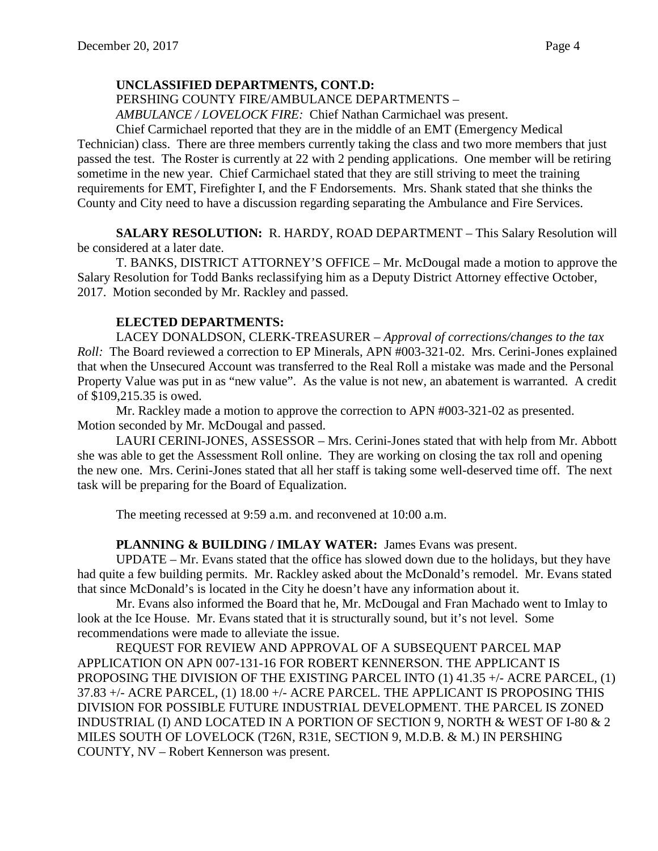PERSHING COUNTY FIRE/AMBULANCE DEPARTMENTS –

*AMBULANCE / LOVELOCK FIRE:* Chief Nathan Carmichael was present.

Chief Carmichael reported that they are in the middle of an EMT (Emergency Medical Technician) class. There are three members currently taking the class and two more members that just passed the test. The Roster is currently at 22 with 2 pending applications. One member will be retiring sometime in the new year. Chief Carmichael stated that they are still striving to meet the training requirements for EMT, Firefighter I, and the F Endorsements. Mrs. Shank stated that she thinks the County and City need to have a discussion regarding separating the Ambulance and Fire Services.

**SALARY RESOLUTION:** R. HARDY, ROAD DEPARTMENT – This Salary Resolution will be considered at a later date.

T. BANKS, DISTRICT ATTORNEY'S OFFICE – Mr. McDougal made a motion to approve the Salary Resolution for Todd Banks reclassifying him as a Deputy District Attorney effective October, 2017. Motion seconded by Mr. Rackley and passed.

# **ELECTED DEPARTMENTS:**

LACEY DONALDSON, CLERK-TREASURER – *Approval of corrections/changes to the tax Roll:* The Board reviewed a correction to EP Minerals, APN #003-321-02. Mrs. Cerini-Jones explained that when the Unsecured Account was transferred to the Real Roll a mistake was made and the Personal Property Value was put in as "new value". As the value is not new, an abatement is warranted. A credit of \$109,215.35 is owed.

Mr. Rackley made a motion to approve the correction to APN #003-321-02 as presented. Motion seconded by Mr. McDougal and passed.

LAURI CERINI-JONES, ASSESSOR – Mrs. Cerini-Jones stated that with help from Mr. Abbott she was able to get the Assessment Roll online. They are working on closing the tax roll and opening the new one. Mrs. Cerini-Jones stated that all her staff is taking some well-deserved time off. The next task will be preparing for the Board of Equalization.

The meeting recessed at 9:59 a.m. and reconvened at 10:00 a.m.

## PLANNING & BUILDING / IMLAY WATER: James Evans was present.

UPDATE – Mr. Evans stated that the office has slowed down due to the holidays, but they have had quite a few building permits. Mr. Rackley asked about the McDonald's remodel. Mr. Evans stated that since McDonald's is located in the City he doesn't have any information about it.

Mr. Evans also informed the Board that he, Mr. McDougal and Fran Machado went to Imlay to look at the Ice House. Mr. Evans stated that it is structurally sound, but it's not level. Some recommendations were made to alleviate the issue.

REQUEST FOR REVIEW AND APPROVAL OF A SUBSEQUENT PARCEL MAP APPLICATION ON APN 007-131-16 FOR ROBERT KENNERSON. THE APPLICANT IS PROPOSING THE DIVISION OF THE EXISTING PARCEL INTO (1) 41.35 +/- ACRE PARCEL, (1) 37.83 +/- ACRE PARCEL, (1) 18.00 +/- ACRE PARCEL. THE APPLICANT IS PROPOSING THIS DIVISION FOR POSSIBLE FUTURE INDUSTRIAL DEVELOPMENT. THE PARCEL IS ZONED INDUSTRIAL (I) AND LOCATED IN A PORTION OF SECTION 9, NORTH & WEST OF I-80 & 2 MILES SOUTH OF LOVELOCK (T26N, R31E, SECTION 9, M.D.B. & M.) IN PERSHING COUNTY, NV – Robert Kennerson was present.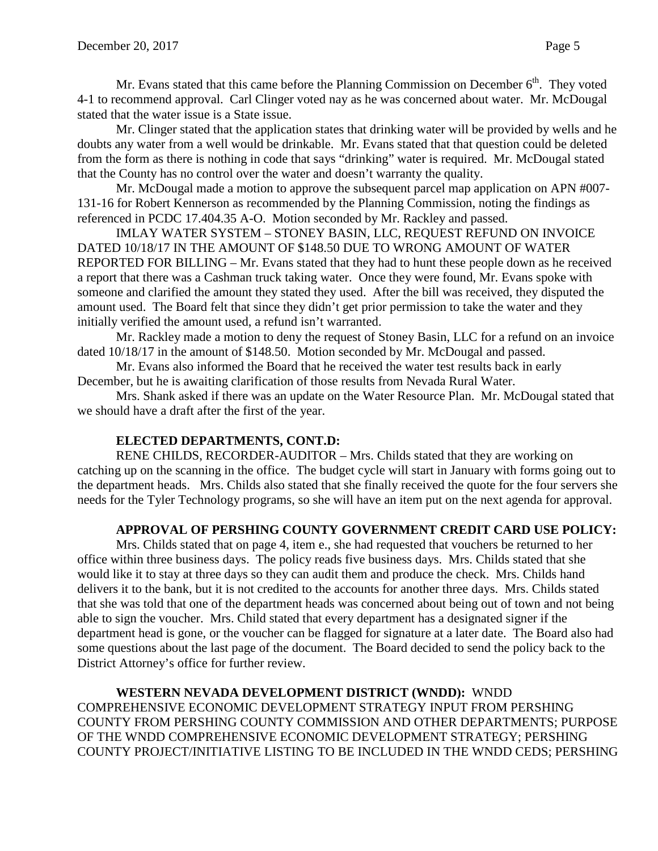Mr. Evans stated that this came before the Planning Commission on December  $6<sup>th</sup>$ . They voted 4-1 to recommend approval. Carl Clinger voted nay as he was concerned about water. Mr. McDougal stated that the water issue is a State issue.

Mr. Clinger stated that the application states that drinking water will be provided by wells and he doubts any water from a well would be drinkable. Mr. Evans stated that that question could be deleted from the form as there is nothing in code that says "drinking" water is required. Mr. McDougal stated that the County has no control over the water and doesn't warranty the quality.

Mr. McDougal made a motion to approve the subsequent parcel map application on APN #007- 131-16 for Robert Kennerson as recommended by the Planning Commission, noting the findings as referenced in PCDC 17.404.35 A-O. Motion seconded by Mr. Rackley and passed.

IMLAY WATER SYSTEM – STONEY BASIN, LLC, REQUEST REFUND ON INVOICE DATED 10/18/17 IN THE AMOUNT OF \$148.50 DUE TO WRONG AMOUNT OF WATER REPORTED FOR BILLING – Mr. Evans stated that they had to hunt these people down as he received a report that there was a Cashman truck taking water. Once they were found, Mr. Evans spoke with someone and clarified the amount they stated they used. After the bill was received, they disputed the amount used. The Board felt that since they didn't get prior permission to take the water and they initially verified the amount used, a refund isn't warranted.

Mr. Rackley made a motion to deny the request of Stoney Basin, LLC for a refund on an invoice dated 10/18/17 in the amount of \$148.50. Motion seconded by Mr. McDougal and passed.

Mr. Evans also informed the Board that he received the water test results back in early December, but he is awaiting clarification of those results from Nevada Rural Water.

Mrs. Shank asked if there was an update on the Water Resource Plan. Mr. McDougal stated that we should have a draft after the first of the year.

# **ELECTED DEPARTMENTS, CONT.D:**

RENE CHILDS, RECORDER-AUDITOR – Mrs. Childs stated that they are working on catching up on the scanning in the office. The budget cycle will start in January with forms going out to the department heads. Mrs. Childs also stated that she finally received the quote for the four servers she needs for the Tyler Technology programs, so she will have an item put on the next agenda for approval.

# **APPROVAL OF PERSHING COUNTY GOVERNMENT CREDIT CARD USE POLICY:**

Mrs. Childs stated that on page 4, item e., she had requested that vouchers be returned to her office within three business days. The policy reads five business days. Mrs. Childs stated that she would like it to stay at three days so they can audit them and produce the check. Mrs. Childs hand delivers it to the bank, but it is not credited to the accounts for another three days. Mrs. Childs stated that she was told that one of the department heads was concerned about being out of town and not being able to sign the voucher. Mrs. Child stated that every department has a designated signer if the department head is gone, or the voucher can be flagged for signature at a later date. The Board also had some questions about the last page of the document. The Board decided to send the policy back to the District Attorney's office for further review.

**WESTERN NEVADA DEVELOPMENT DISTRICT (WNDD):** WNDD COMPREHENSIVE ECONOMIC DEVELOPMENT STRATEGY INPUT FROM PERSHING COUNTY FROM PERSHING COUNTY COMMISSION AND OTHER DEPARTMENTS; PURPOSE OF THE WNDD COMPREHENSIVE ECONOMIC DEVELOPMENT STRATEGY; PERSHING COUNTY PROJECT/INITIATIVE LISTING TO BE INCLUDED IN THE WNDD CEDS; PERSHING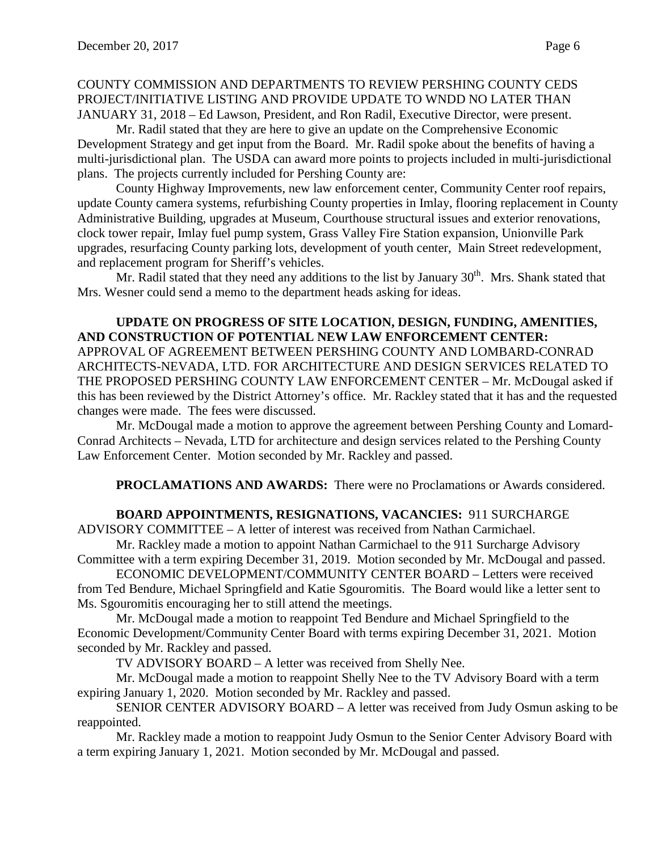## COUNTY COMMISSION AND DEPARTMENTS TO REVIEW PERSHING COUNTY CEDS PROJECT/INITIATIVE LISTING AND PROVIDE UPDATE TO WNDD NO LATER THAN JANUARY 31, 2018 – Ed Lawson, President, and Ron Radil, Executive Director, were present.

Mr. Radil stated that they are here to give an update on the Comprehensive Economic Development Strategy and get input from the Board. Mr. Radil spoke about the benefits of having a multi-jurisdictional plan. The USDA can award more points to projects included in multi-jurisdictional plans. The projects currently included for Pershing County are:

County Highway Improvements, new law enforcement center, Community Center roof repairs, update County camera systems, refurbishing County properties in Imlay, flooring replacement in County Administrative Building, upgrades at Museum, Courthouse structural issues and exterior renovations, clock tower repair, Imlay fuel pump system, Grass Valley Fire Station expansion, Unionville Park upgrades, resurfacing County parking lots, development of youth center, Main Street redevelopment, and replacement program for Sheriff's vehicles.

Mr. Radil stated that they need any additions to the list by January  $30<sup>th</sup>$ . Mrs. Shank stated that Mrs. Wesner could send a memo to the department heads asking for ideas.

**UPDATE ON PROGRESS OF SITE LOCATION, DESIGN, FUNDING, AMENITIES, AND CONSTRUCTION OF POTENTIAL NEW LAW ENFORCEMENT CENTER:**  APPROVAL OF AGREEMENT BETWEEN PERSHING COUNTY AND LOMBARD-CONRAD ARCHITECTS-NEVADA, LTD. FOR ARCHITECTURE AND DESIGN SERVICES RELATED TO THE PROPOSED PERSHING COUNTY LAW ENFORCEMENT CENTER – Mr. McDougal asked if this has been reviewed by the District Attorney's office. Mr. Rackley stated that it has and the requested changes were made. The fees were discussed.

Mr. McDougal made a motion to approve the agreement between Pershing County and Lomard-Conrad Architects – Nevada, LTD for architecture and design services related to the Pershing County Law Enforcement Center. Motion seconded by Mr. Rackley and passed.

**PROCLAMATIONS AND AWARDS:** There were no Proclamations or Awards considered.

# **BOARD APPOINTMENTS, RESIGNATIONS, VACANCIES:** 911 SURCHARGE

ADVISORY COMMITTEE – A letter of interest was received from Nathan Carmichael.

Mr. Rackley made a motion to appoint Nathan Carmichael to the 911 Surcharge Advisory Committee with a term expiring December 31, 2019. Motion seconded by Mr. McDougal and passed.

ECONOMIC DEVELOPMENT/COMMUNITY CENTER BOARD – Letters were received from Ted Bendure, Michael Springfield and Katie Sgouromitis. The Board would like a letter sent to Ms. Sgouromitis encouraging her to still attend the meetings.

Mr. McDougal made a motion to reappoint Ted Bendure and Michael Springfield to the Economic Development/Community Center Board with terms expiring December 31, 2021. Motion seconded by Mr. Rackley and passed.

TV ADVISORY BOARD – A letter was received from Shelly Nee.

Mr. McDougal made a motion to reappoint Shelly Nee to the TV Advisory Board with a term expiring January 1, 2020. Motion seconded by Mr. Rackley and passed.

SENIOR CENTER ADVISORY BOARD – A letter was received from Judy Osmun asking to be reappointed.

Mr. Rackley made a motion to reappoint Judy Osmun to the Senior Center Advisory Board with a term expiring January 1, 2021. Motion seconded by Mr. McDougal and passed.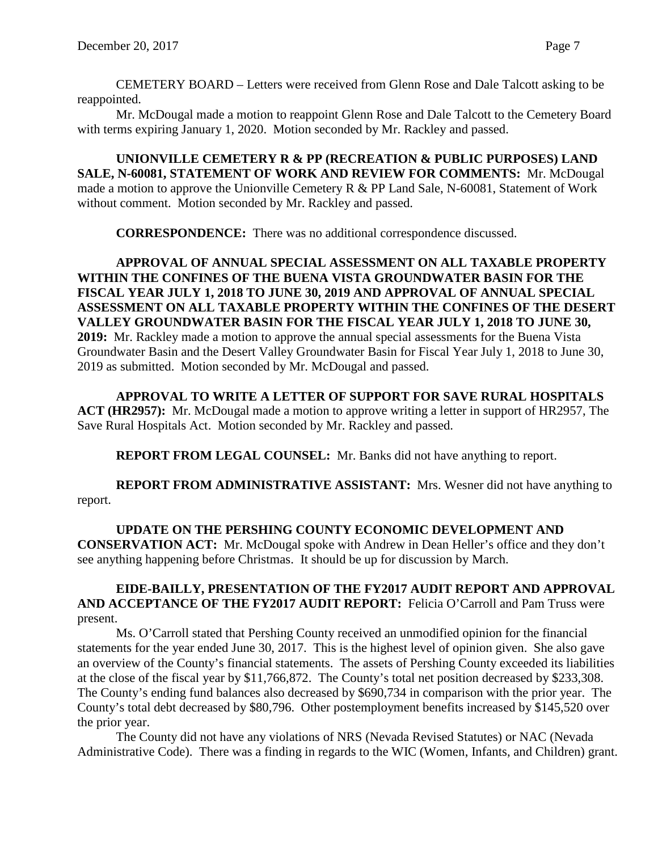Mr. McDougal made a motion to reappoint Glenn Rose and Dale Talcott to the Cemetery Board with terms expiring January 1, 2020. Motion seconded by Mr. Rackley and passed.

**UNIONVILLE CEMETERY R & PP (RECREATION & PUBLIC PURPOSES) LAND SALE, N-60081, STATEMENT OF WORK AND REVIEW FOR COMMENTS:** Mr. McDougal made a motion to approve the Unionville Cemetery R & PP Land Sale, N-60081, Statement of Work without comment. Motion seconded by Mr. Rackley and passed.

**CORRESPONDENCE:** There was no additional correspondence discussed.

**APPROVAL OF ANNUAL SPECIAL ASSESSMENT ON ALL TAXABLE PROPERTY WITHIN THE CONFINES OF THE BUENA VISTA GROUNDWATER BASIN FOR THE FISCAL YEAR JULY 1, 2018 TO JUNE 30, 2019 AND APPROVAL OF ANNUAL SPECIAL ASSESSMENT ON ALL TAXABLE PROPERTY WITHIN THE CONFINES OF THE DESERT VALLEY GROUNDWATER BASIN FOR THE FISCAL YEAR JULY 1, 2018 TO JUNE 30, 2019:** Mr. Rackley made a motion to approve the annual special assessments for the Buena Vista Groundwater Basin and the Desert Valley Groundwater Basin for Fiscal Year July 1, 2018 to June 30, 2019 as submitted. Motion seconded by Mr. McDougal and passed.

**APPROVAL TO WRITE A LETTER OF SUPPORT FOR SAVE RURAL HOSPITALS ACT (HR2957):** Mr. McDougal made a motion to approve writing a letter in support of HR2957, The Save Rural Hospitals Act. Motion seconded by Mr. Rackley and passed.

**REPORT FROM LEGAL COUNSEL:** Mr. Banks did not have anything to report.

**REPORT FROM ADMINISTRATIVE ASSISTANT:** Mrs. Wesner did not have anything to report.

**UPDATE ON THE PERSHING COUNTY ECONOMIC DEVELOPMENT AND CONSERVATION ACT:** Mr. McDougal spoke with Andrew in Dean Heller's office and they don't see anything happening before Christmas. It should be up for discussion by March.

#### **EIDE-BAILLY, PRESENTATION OF THE FY2017 AUDIT REPORT AND APPROVAL AND ACCEPTANCE OF THE FY2017 AUDIT REPORT:** Felicia O'Carroll and Pam Truss were present.

Ms. O'Carroll stated that Pershing County received an unmodified opinion for the financial statements for the year ended June 30, 2017. This is the highest level of opinion given. She also gave an overview of the County's financial statements. The assets of Pershing County exceeded its liabilities at the close of the fiscal year by \$11,766,872. The County's total net position decreased by \$233,308. The County's ending fund balances also decreased by \$690,734 in comparison with the prior year. The County's total debt decreased by \$80,796. Other postemployment benefits increased by \$145,520 over the prior year.

The County did not have any violations of NRS (Nevada Revised Statutes) or NAC (Nevada Administrative Code). There was a finding in regards to the WIC (Women, Infants, and Children) grant.